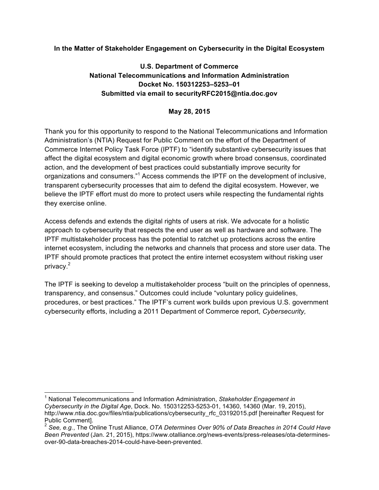#### **In the Matter of Stakeholder Engagement on Cybersecurity in the Digital Ecosystem**

## **U.S. Department of Commerce National Telecommunications and Information Administration Docket No. 150312253–5253–01 Submitted via email to securityRFC2015@ntia.doc.gov**

#### **May 28, 2015**

Thank you for this opportunity to respond to the National Telecommunications and Information Administration's (NTIA) Request for Public Comment on the effort of the Department of Commerce Internet Policy Task Force (IPTF) to "identify substantive cybersecurity issues that affect the digital ecosystem and digital economic growth where broad consensus, coordinated action, and the development of best practices could substantially improve security for organizations and consumers."<sup>1</sup> Access commends the IPTF on the development of inclusive, transparent cybersecurity processes that aim to defend the digital ecosystem. However, we believe the IPTF effort must do more to protect users while respecting the fundamental rights they exercise online.

Access defends and extends the digital rights of users at risk. We advocate for a holistic approach to cybersecurity that respects the end user as well as hardware and software. The IPTF multistakeholder process has the potential to ratchet up protections across the entire internet ecosystem, including the networks and channels that process and store user data. The IPTF should promote practices that protect the entire internet ecosystem without risking user privacy.<sup>2</sup>

The IPTF is seeking to develop a multistakeholder process "built on the principles of openness, transparency, and consensus." Outcomes could include "voluntary policy guidelines, procedures, or best practices." The IPTF's current work builds upon previous U.S. government cybersecurity efforts, including a 2011 Department of Commerce report, *Cybersecurity,* 

 <sup>1</sup> National Telecommunications and Information Administration, *Stakeholder Engagement in Cybersecurity in the Digital Age*, Dock. No. 150312253-5253-01, 14360, 14360 (Mar. 19, 2015), http://www.ntia.doc.gov/files/ntia/publications/cybersecurity\_rfc\_03192015.pdf [hereinafter Request for Public Comment].

<sup>2</sup> *See, e.g.*, The Online Trust Alliance, *OTA Determines Over 90% of Data Breaches in 2014 Could Have Been Prevented* (Jan. 21, 2015), https://www.otalliance.org/news-events/press-releases/ota-determinesover-90-data-breaches-2014-could-have-been-prevented.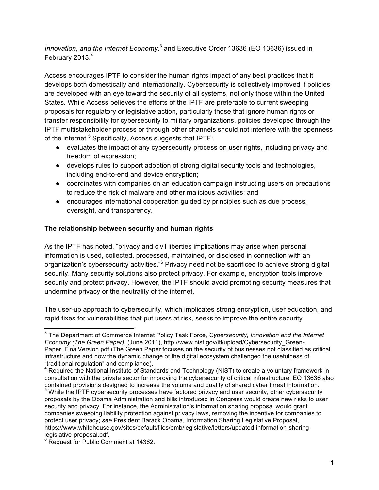*Innovation, and the Internet Economy*,<sup>3</sup> and Executive Order 13636 (EO 13636) issued in February 2013.<sup>4</sup>

Access encourages IPTF to consider the human rights impact of any best practices that it develops both domestically and internationally. Cybersecurity is collectively improved if policies are developed with an eye toward the security of all systems, not only those within the United States. While Access believes the efforts of the IPTF are preferable to current sweeping proposals for regulatory or legislative action, particularly those that ignore human rights or transfer responsibility for cybersecurity to military organizations, policies developed through the IPTF multistakeholder process or through other channels should not interfere with the openness of the internet.<sup>5</sup> Specifically, Access suggests that IPTF:

- evaluates the impact of any cybersecurity process on user rights, including privacy and freedom of expression;
- develops rules to support adoption of strong digital security tools and technologies, including end-to-end and device encryption;
- coordinates with companies on an education campaign instructing users on precautions to reduce the risk of malware and other malicious activities; and
- encourages international cooperation guided by principles such as due process, oversight, and transparency.

## **The relationship between security and human rights**

As the IPTF has noted, "privacy and civil liberties implications may arise when personal information is used, collected, processed, maintained, or disclosed in connection with an organization's cybersecurity activities."<sup>6</sup> Privacy need not be sacrificed to achieve strong digital security. Many security solutions also protect privacy. For example, encryption tools improve security and protect privacy. However, the IPTF should avoid promoting security measures that undermine privacy or the neutrality of the internet.

The user-up approach to cybersecurity, which implicates strong encryption, user education, and rapid fixes for vulnerabilities that put users at risk, seeks to improve the entire security

 <sup>3</sup> The Department of Commerce Internet Policy Task Force, *Cybersecurity, Innovation and the Internet Economy (The Green Paper)*, (June 2011), http://www.nist.gov/itl/upload/Cybersecurity\_Green-Paper FinalVersion.pdf (The Green Paper focuses on the security of businesses not classified as critical infrastructure and how the dynamic change of the digital ecosystem challenged the usefulness of "traditional regulation" and compliance).

<sup>&</sup>lt;sup>4</sup> Required the National Institute of Standards and Technology (NIST) to create a voluntary framework in consultation with the private sector for improving the cybersecurity of critical infrastructure. EO 13636 also

 $5$  While the IPTF cybersecurity processes have factored privacy and user security, other cybersecurity proposals by the Obama Administration and bills introduced in Congress would create new risks to user security and privacy. For instance, the Administration's information sharing proposal would grant companies sweeping liability protection against privacy laws, removing the incentive for companies to protect user privacy; *see* President Barack Obama, Information Sharing Legislative Proposal, https://www.whitehouse.gov/sites/default/files/omb/legislative/letters/updated-information-sharinglegislative-proposal.pdf.<br><sup>6</sup> Request for Public Comment at 14362.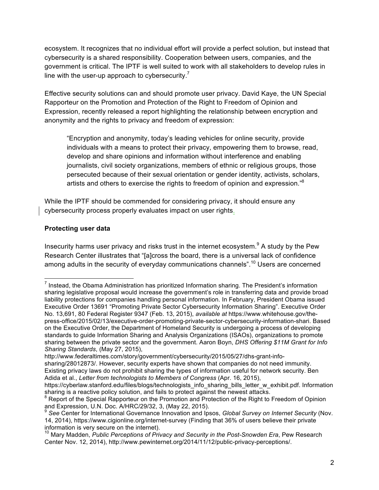ecosystem. It recognizes that no individual effort will provide a perfect solution, but instead that cybersecurity is a shared responsibility. Cooperation between users, companies, and the government is critical. The IPTF is well suited to work with all stakeholders to develop rules in line with the user-up approach to cybersecurity.<sup>7</sup>

Effective security solutions can and should promote user privacy. David Kaye, the UN Special Rapporteur on the Promotion and Protection of the Right to Freedom of Opinion and Expression, recently released a report highlighting the relationship between encryption and anonymity and the rights to privacy and freedom of expression:

"Encryption and anonymity, today's leading vehicles for online security, provide individuals with a means to protect their privacy, empowering them to browse, read, develop and share opinions and information without interference and enabling journalists, civil society organizations, members of ethnic or religious groups, those persecuted because of their sexual orientation or gender identity, activists, scholars, artists and others to exercise the rights to freedom of opinion and expression."<sup>8</sup>

While the IPTF should be commended for considering privacy, it should ensure any cybersecurity process properly evaluates impact on user rights.

## **Protecting user data**

Insecurity harms user privacy and risks trust in the internet ecosystem.<sup>9</sup> A study by the Pew Research Center illustrates that "[a]cross the board, there is a universal lack of confidence among adults in the security of everyday communications channels".<sup>10</sup> Users are concerned

<sup>&</sup>lt;sup>7</sup> Instead, the Obama Administration has prioritized Information sharing. The President's information sharing legislative proposal would increase the government's role in transferring data and provide broad liability protections for companies handling personal information. In February, President Obama issued Executive Order 13691 "Promoting Private Sector Cybersecurity Information Sharing". Executive Order No. 13,691, 80 Federal Register 9347 (Feb. 13, 2015), *available at* https://www.whitehouse.gov/thepress-office/2015/02/13/executive-order-promoting-private-sector-cybersecurity-information-shari. Based on the Executive Order, the Department of Homeland Security is undergoing a process of developing standards to guide Information Sharing and Analysis Organizations (ISAOs), organizations to promote sharing between the private sector and the government. Aaron Boyn, *DHS Offering \$11M Grant for Info Sharing Standards*, (May 27, 2015),

http://www.federaltimes.com/story/government/cybersecurity/2015/05/27/dhs-grant-infosharing/28012873/. However, security experts have shown that companies do not need immunity. Existing privacy laws do not prohibit sharing the types of information useful for network security. Ben Adida et al., *Letter from technologists to Members of Congress* (Apr. 16, 2015),

https://cyberlaw.stanford.edu/files/blogs/technologists\_info\_sharing\_bills\_letter\_w\_exhibit.pdf. Information sharing is a reactive policy solution, and fails to protect against the newest attacks.

Report of the Special Rapporteur on the Promotion and Protection of the Right to Freedom of Opinion and Expression, U.N. Doc. A/HRC/29/32, 3, (May 22, 2015).<br><sup>9</sup> See Center for International Governance Innovation and Ipsos, *Global Survey on Internet Security* (Nov.

<sup>14, 2014),</sup> https://www.cigionline.org/internet-survey (Finding that 36% of users believe their private information is very secure on the internet).<br><sup>10</sup> Marv Madden, *Public Perceptions of Privacy and Security in the Post-Snowden Era*, Pew Research

Center Nov. 12, 2014), http://www.pewinternet.org/2014/11/12/public-privacy-perceptions/.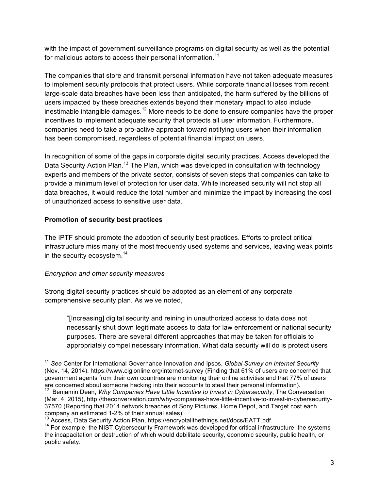with the impact of government surveillance programs on digital security as well as the potential for malicious actors to access their personal information.<sup>11</sup>

The companies that store and transmit personal information have not taken adequate measures to implement security protocols that protect users. While corporate financial losses from recent large-scale data breaches have been less than anticipated, the harm suffered by the billions of users impacted by these breaches extends beyond their monetary impact to also include inestimable intangible damages.<sup>12</sup> More needs to be done to ensure companies have the proper incentives to implement adequate security that protects all user information. Furthermore, companies need to take a pro-active approach toward notifying users when their information has been compromised, regardless of potential financial impact on users.

In recognition of some of the gaps in corporate digital security practices, Access developed the Data Security Action Plan.<sup>13</sup> The Plan, which was developed in consultation with technology experts and members of the private sector, consists of seven steps that companies can take to provide a minimum level of protection for user data. While increased security will not stop all data breaches, it would reduce the total number and minimize the impact by increasing the cost of unauthorized access to sensitive user data.

## **Promotion of security best practices**

The IPTF should promote the adoption of security best practices. Efforts to protect critical infrastructure miss many of the most frequently used systems and services, leaving weak points in the security ecosystem.<sup>14</sup>

# *Encryption and other security measures*

Strong digital security practices should be adopted as an element of any corporate comprehensive security plan. As we've noted,

"[Increasing] digital security and reining in unauthorized access to data does not necessarily shut down legitimate access to data for law enforcement or national security purposes. There are several different approaches that may be taken for officials to appropriately compel necessary information. What data security will do is protect users

 <sup>11</sup> *See* Center for International Governance Innovation and Ipsos, *Global Survey on Internet Security* (Nov. 14, 2014), https://www.cigionline.org/internet-survey (Finding that 61% of users are concerned that government agents from their own countries are monitoring their online activities and that 77% of users are concerned about someone hacking into their accounts to steal their personal information).

<sup>&</sup>lt;sup>12</sup> Benjamin Dean, *Why Companies Have Little Incentive to Invest in Cybersecurity*, The Conversation (Mar. 4, 2015), http://theconversation.com/why-companies-have-little-incentive-to-invest-in-cybersecurity-37570 (Reporting that 2014 network breaches of Sony Pictures, Home Depot, and Target cost each company an estimated 1-2% of their annual sales).

 $^{13}$  Access, Data Security Action Plan, https://encryptallthethings.net/docs/EATT.pdf.<br><sup>14</sup> For example, the NIST Cybersecurity Framework was developed for critical infrastructure: the systems the incapacitation or destruction of which would debilitate security, economic security, public health, or public safety.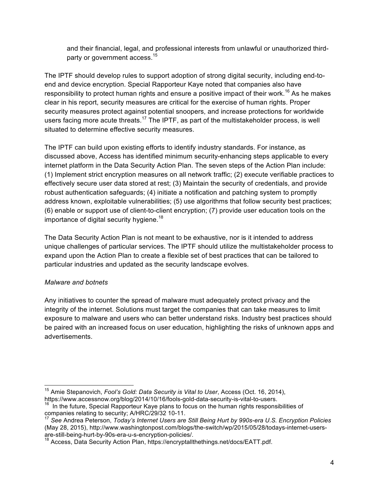and their financial, legal, and professional interests from unlawful or unauthorized thirdparty or government access.<sup>15</sup>

The IPTF should develop rules to support adoption of strong digital security, including end-toend and device encryption. Special Rapporteur Kaye noted that companies also have responsibility to protect human rights and ensure a positive impact of their work.<sup>16</sup> As he makes clear in his report, security measures are critical for the exercise of human rights. Proper security measures protect against potential snoopers, and increase protections for worldwide users facing more acute threats.<sup>17</sup> The IPTF, as part of the multistakeholder process, is well situated to determine effective security measures.

The IPTF can build upon existing efforts to identify industry standards. For instance, as discussed above, Access has identified minimum security-enhancing steps applicable to every internet platform in the Data Security Action Plan. The seven steps of the Action Plan include: (1) Implement strict encryption measures on all network traffic; (2) execute verifiable practices to effectively secure user data stored at rest; (3) Maintain the security of credentials, and provide robust authentication safeguards; (4) initiate a notification and patching system to promptly address known, exploitable vulnerabilities; (5) use algorithms that follow security best practices; (6) enable or support use of client-to-client encryption; (7) provide user education tools on the importance of digital security hygiene.<sup>18</sup>

The Data Security Action Plan is not meant to be exhaustive, nor is it intended to address unique challenges of particular services. The IPTF should utilize the multistakeholder process to expand upon the Action Plan to create a flexible set of best practices that can be tailored to particular industries and updated as the security landscape evolves.

# *Malware and botnets*

Any initiatives to counter the spread of malware must adequately protect privacy and the integrity of the internet. Solutions must target the companies that can take measures to limit exposure to malware and users who can better understand risks. Industry best practices should be paired with an increased focus on user education, highlighting the risks of unknown apps and advertisements.

 <sup>15</sup> Amie Stepanovich, *Fool's Gold: Data Security is Vital to User*, Access (Oct. 16, 2014), https://www.accessnow.org/blog/2014/10/16/fools-gold-data-security-is-vital-to-users.

 $16$  In the future, Special Rapporteur Kaye plans to focus on the human rights responsibilities of companies relating to security; A/HRC/29/32 10-11.

<sup>17</sup> *See* Andrea Peterson, *Today's Internet Users are Still Being Hurt by 990s-era U.S. Encryption Policies*  (May 28, 2015), http://www.washingtonpost.com/blogs/the-switch/wp/2015/05/28/todays-internet-usersare-still-being-hurt-by-90s-era-u-s-encryption-policies/.

<sup>&</sup>lt;sup>18</sup> Access, Data Security Action Plan, https://encryptallthethings.net/docs/EATT.pdf.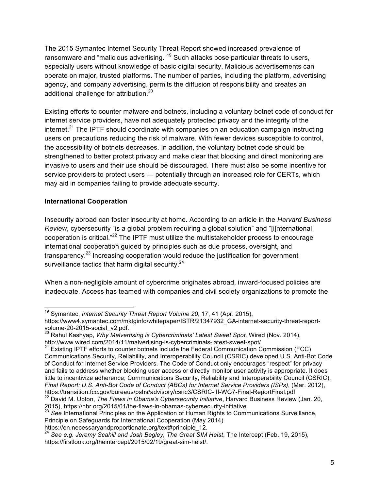The 2015 Symantec Internet Security Threat Report showed increased prevalence of ransomware and "malicious advertising."<sup>19</sup> Such attacks pose particular threats to users, especially users without knowledge of basic digital security. Malicious advertisements can operate on major, trusted platforms. The number of parties, including the platform, advertising agency, and company advertising, permits the diffusion of responsibility and creates an additional challenge for attribution.<sup>20</sup>

Existing efforts to counter malware and botnets, including a voluntary botnet code of conduct for internet service providers, have not adequately protected privacy and the integrity of the internet. $21$  The IPTF should coordinate with companies on an education campaign instructing users on precautions reducing the risk of malware. With fewer devices susceptible to control, the accessibility of botnets decreases. In addition, the voluntary botnet code should be strengthened to better protect privacy and make clear that blocking and direct monitoring are invasive to users and their use should be discouraged. There must also be some incentive for service providers to protect users — potentially through an increased role for CERTs, which may aid in companies failing to provide adequate security.

## **International Cooperation**

Insecurity abroad can foster insecurity at home. According to an article in the *Harvard Business Review*, cybersecurity "is a global problem requiring a global solution" and "[i]nternational cooperation is critical."<sup>22</sup> The IPTF must utilize the multistakeholder process to encourage international cooperation guided by principles such as due process, oversight, and transparency.<sup>23</sup> Increasing cooperation would reduce the justification for government surveillance tactics that harm digital security. $24$ 

When a non-negligible amount of cybercrime originates abroad, inward-focused policies are inadequate. Access has teamed with companies and civil society organizations to promote the

 <sup>19</sup> Symantec, *Internet Security Threat Report Volume 20*, 17, 41 (Apr. 2015), https://www4.symantec.com/mktginfo/whitepaper/ISTR/21347932\_GA-internet-security-threat-report-<br>volume-20-2015-social v2.pdf.

volume-20-2015-social\_varial\_variancy<br><sup>20</sup> Rahul Kashyap, *Why Malvertising is Cybercriminals' Latest Sweet Spot, Wired (Nov. 2014),*<br>http://www.wired.com/2014/11/malvertising-is-cybercriminals-latest-sweet-spot/

 $121$  Existing IPTF efforts to counter botnets include the Federal Communication Commission (FCC) Communications Security, Reliability, and Interoperability Council (CSRIC) developed U.S. Anti-Bot Code of Conduct for Internet Service Providers. The Code of Conduct only encourages "respect" for privacy and fails to address whether blocking user access or directly monitor user activity is appropriate. It does little to incentivize adherence; Communications Security, Reliability and Interoperability Council (CSRIC), *Final Report: U.S. Anti-Bot Code of Conduct (ABCs) for Internet Service Providers (ISPs)*, (Mar. 2012), https://transition.fcc.gov/bureaus/pshs/advisory/csric3/CSRIC-III-WG7-Final-ReportFinal.pdf<br><sup>22</sup> David M. Upton, *The Flaws in Obama's Cybersecurity Initiative*, Harvard Business Review (Jan. 20,

<sup>2015),</sup> https://hbr.org/2015/01/the-flaws-in-obamas-cybersecurity-initiative.

<sup>&</sup>lt;sup>23</sup> See International Principles on the Application of Human Rights to Communications Surveillance, Principle on Safeguards for International Cooperation (May 2014)<br>https://en.necessaryandproportionate.org/text#principle 12.

<sup>&</sup>lt;sup>24</sup> See e.a. Jeremy Scahill and Josh Begley, The Great SIM Heist, The Intercept (Feb. 19, 2015), https://firstlook.org/theintercept/2015/02/19/great-sim-heist/.